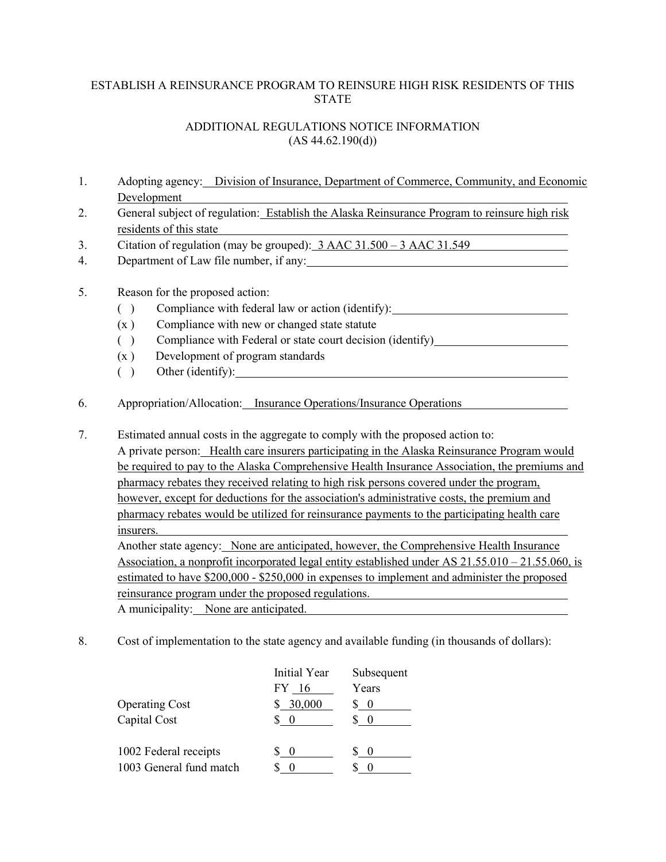## ESTABLISH A REINSURANCE PROGRAM TO REINSURE HIGH RISK RESIDENTS OF THIS **STATE**

## ADDITIONAL REGULATIONS NOTICE INFORMATION  $(AS 44.62.190(d))$

- 1. Adopting agency: Division of Insurance, Department of Commerce, Community, and Economic Development
- 2. General subject of regulation: Establish the Alaska Reinsurance Program to reinsure high risk residents of this state
- 3. Citation of regulation (may be grouped): 3 AAC 31.500 3 AAC 31.549
- 4. Department of Law file number, if any:

## 5. Reason for the proposed action:

- ( ) Compliance with federal law or action (identify):
- $(x)$  Compliance with new or changed state statute
- ( ) Compliance with Federal or state court decision (identify)
- (x ) Development of program standards
- ( ) Other (identify):
- 6. Appropriation/Allocation: Insurance Operations/Insurance Operations
- 7. Estimated annual costs in the aggregate to comply with the proposed action to: A private person: Health care insurers participating in the Alaska Reinsurance Program would be required to pay to the Alaska Comprehensive Health Insurance Association, the premiums and pharmacy rebates they received relating to high risk persons covered under the program, however, except for deductions for the association's administrative costs, the premium and pharmacy rebates would be utilized for reinsurance payments to the participating health care insurers. Another state agency: None are anticipated, however, the Comprehensive Health Insurance Association, a nonprofit incorporated legal entity established under AS 21.55.010 – 21.55.060, is estimated to have \$200,000 - \$250,000 in expenses to implement and administer the proposed reinsurance program under the proposed regulations.

A municipality: None are anticipated.

8. Cost of implementation to the state agency and available funding (in thousands of dollars):

|                         | Initial Year | Subsequent       |
|-------------------------|--------------|------------------|
|                         | FY 16        | Years            |
| <b>Operating Cost</b>   | \$30,000     | $\overline{0}$   |
| Capital Cost            |              |                  |
| 1002 Federal receipts   | $\bigcirc$   | $\left( \right)$ |
| 1003 General fund match |              |                  |